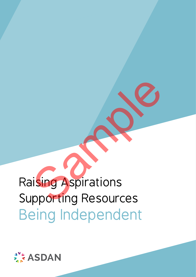

# Raising Aspirations Supporting Resources Being Independent Sample Terms<br>Sample Terms<br>Sample Terms<br>Sample Terms<br>Sample Terms<br>Sample Terms<br>Sample Terms<br>Sample Terms<br>Sample Terms<br>Sample Terms<br>Sample Terms<br>Sample Terms<br>Sample Terms<br>Sample Terms<br>Sample Terms<br>Sample Terms<br>Sample Terms<br>S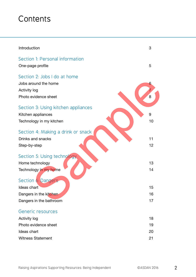# **Contents**

| Introduction                                                                                        | 3              |
|-----------------------------------------------------------------------------------------------------|----------------|
| Section 1: Personal information<br>One-page profile                                                 | 5              |
| Section 2: Jobs I do at home<br>Jobs around the home<br><b>Activity log</b><br>Photo evidence sheet | 6<br>8         |
| Section 3: Using kitchen appliances<br>Kitchen appliances<br>Technology in my kitchen               | 9<br>10        |
| Section 4: Making a drink or snack<br>Drinks and snacks<br>Step-by-step                             | 11<br>12       |
| Section 5: Using technology<br>Home technology<br>Technology in my home                             | 13<br>14       |
| Section 6: Dangers<br>Ideas chart<br>Dangers in the kitchen<br>Dangers in the bathroom              | 15<br>16<br>17 |
| Generic resources<br><b>Activity log</b><br>Photo evidence sheet<br>Ideas chart                     | 18<br>19<br>20 |
| <b>Witness Statement</b>                                                                            | 21             |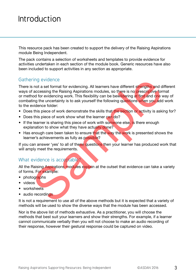# Introduction

This resource pack has been created to support the delivery of the Raising Aspirations module Being Independent.

The pack contains a selection of worksheets and templates to provide evidence for activities undertaken in each section of the module book. Generic resources have also been included to support activities in any section as appropriate.

#### Gathering evidence

There is not a set format for evidencing. All learners have different strengths and different ways of accessing the Raising Aspirations modules, so there is no prescriptive format or method for evidencing work. This flexibility can be bewildering at first and one way of combating the uncertainty is to ask yourself the following questions when you add work to the evidence folder: ring evidence<br>
is not a set format for evidencing. All learners have different strengths and d<br>
in a coessing the Raising Aspirations modules, so there is no prescriptive for<br>
faccessing the Raising Aspirations modules, so

- Does this piece of work demonstrate the skills that the section or activity is asking for?
- Does this piece of work show what the learner can do?
- If the learner is sharing this piece of work with someone else, is there enough explanation to show what they have actually done?
- Has enough care been taken to ensure that the way the work is presented shows the learner's achievements as fully as possible?

If you can answer 'yes' to all of these questions then your learner has produced work that will amply meet the requirements.

#### What evidence is acceptable?

All the Raising Aspirations modules explain at the outset that evidence can take a variety of forms. For example:

- photographs
- videos
- worksheets
- audio recordings

It is not a requirement to use all of the above methods but it is expected that a variety of methods will be used to show the diverse ways that the module has been accessed.

Nor is the above list of methods exhaustive. As a practitioner, you will choose the methods that best suit your learners and show their strengths. For example, if a learner cannot communicate verbally then you will not choose to make an audio recording of their response, however their gestural response could be captured on video.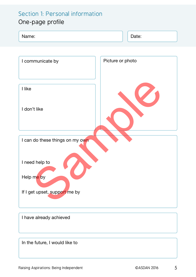# Section 1: Personal information

## One-page profile

| Name:                           | Date:            |
|---------------------------------|------------------|
|                                 |                  |
| I communicate by                | Picture or photo |
| I like                          |                  |
| I don't like                    |                  |
| I can do these things on my own |                  |
| I need help to<br>Help me by    |                  |
| If I get upset, support me by   |                  |
| I have already achieved         |                  |
| In the future, I would like to  |                  |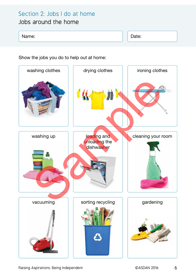# Section 2: Jobs I do at home

#### Jobs around the home

#### Name: Name: Name: Name: Name: Name: Name: Name: Name: Name: Name: Name: Name: Name: Name: Name: Name: Name: Name: Name: Name: Name: Name: Name: Name: Name: Name: Name: Name: Name: Name: Name: Name: Name: Name: Name: Name:

Show the jobs you do to help out at home:

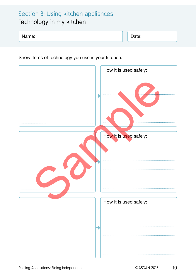## Section 3: Using kitchen appliances Technology in my kitchen

| Name: |  | $\overline{\phantom{a}}$<br>Date: |
|-------|--|-----------------------------------|
|-------|--|-----------------------------------|

Show items of technology you use in your kitchen.

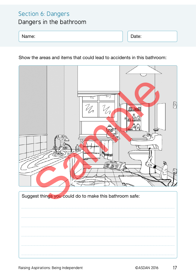### Section 6: Dangers

Dangers in the bathroom

Name: Name: Name: Name: Name: Name: Name: Name: Name: Name: Name: Name: Name: Name: Name: Name: Name: Name: Na

Show the areas and items that could lead to accidents in this bathroom:

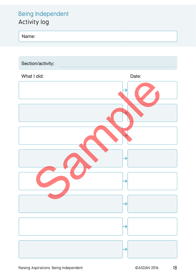## Being Independent Activity log